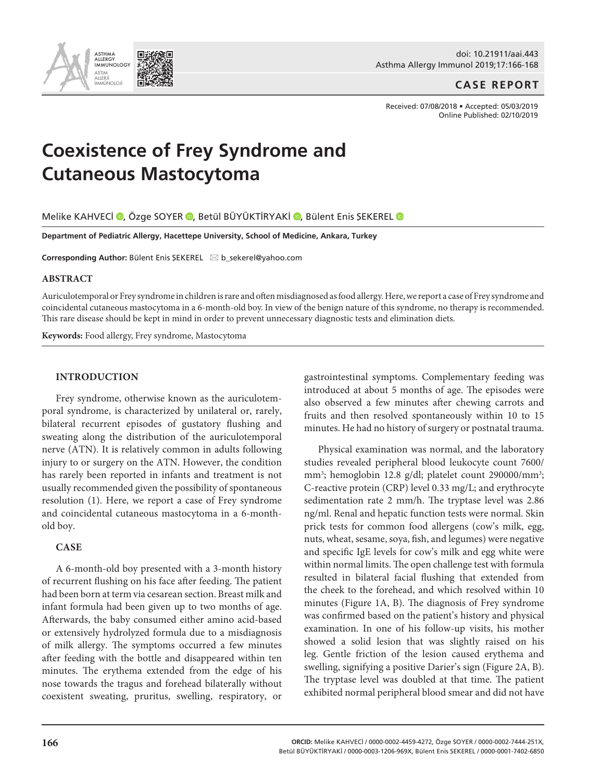doi: 10.21911/aai.443 Asthma Allergy Immunol 2019;17:166-168

# **CASE REPORT**

Received: 07/08/2018 • Accepted: 05/03/2019 Online Published: 02/10/2019

# **Coexistence of Frey Syndrome and Cutaneous Mastocytoma**

MelikeKAHVECI O, Özge SOYER O, Betül BÜYÜKTİRYAKİ O, Bülent Enis ŞEKEREL O

**Department of Pediatric Allergy, Hacettepe University, School of Medicine, Ankara, Turkey** 

**Corresponding Author:** Bülent Enis SEKEREL ⊠ b\_sekerel@yahoo.com

## **ABSTRACT**

Auriculotemporal or Frey syndrome in children is rare and often misdiagnosed as food allergy. Here, we report a case of Frey syndrome and coincidental cutaneous mastocytoma in a 6-month-old boy. In view of the benign nature of this syndrome, no therapy is recommended. This rare disease should be kept in mind in order to prevent unnecessary diagnostic tests and elimination diets.

**Keywords:** Food allergy, Frey syndrome, Mastocytoma

#### **INTRODUCTION**

Frey syndrome, otherwise known as the auriculotemporal syndrome, is characterized by unilateral or, rarely, bilateral recurrent episodes of gustatory flushing and sweating along the distribution of the auriculotemporal nerve (ATN). It is relatively common in adults following injury to or surgery on the ATN. However, the condition has rarely been reported in infants and treatment is not usually recommended given the possibility of spontaneous resolution (1). Here, we report a case of Frey syndrome and coincidental cutaneous mastocytoma in a 6-monthold boy.

# **CASE**

A 6-month-old boy presented with a 3-month history of recurrent flushing on his face after feeding. The patient had been born at term via cesarean section. Breast milk and infant formula had been given up to two months of age. Afterwards, the baby consumed either amino acid-based or extensively hydrolyzed formula due to a misdiagnosis of milk allergy. The symptoms occurred a few minutes after feeding with the bottle and disappeared within ten minutes. The erythema extended from the edge of his nose towards the tragus and forehead bilaterally without coexistent sweating, pruritus, swelling, respiratory, or

gastrointestinal symptoms. Complementary feeding was introduced at about 5 months of age. The episodes were also observed a few minutes after chewing carrots and fruits and then resolved spontaneously within 10 to 15 minutes. He had no history of surgery or postnatal trauma.

Physical examination was normal, and the laboratory studies revealed peripheral blood leukocyte count 7600/ mm<sup>3</sup>; hemoglobin 12.8 g/dl; platelet count 290000/mm<sup>3</sup>; C-reactive protein (CRP) level 0.33 mg/L; and erythrocyte sedimentation rate 2 mm/h. The tryptase level was 2.86 ng/ml. Renal and hepatic function tests were normal. Skin prick tests for common food allergens (cow's milk, egg, nuts, wheat, sesame, soya, fish, and legumes) were negative and specific IgE levels for cow's milk and egg white were within normal limits. The open challenge test with formula resulted in bilateral facial flushing that extended from the cheek to the forehead, and which resolved within 10 minutes (Figure 1A, B). The diagnosis of Frey syndrome was confirmed based on the patient's history and physical examination. In one of his follow-up visits, his mother showed a solid lesion that was slightly raised on his leg. Gentle friction of the lesion caused erythema and swelling, signifying a positive Darier's sign (Figure 2A, B). The tryptase level was doubled at that time. The patient exhibited normal peripheral blood smear and did not have

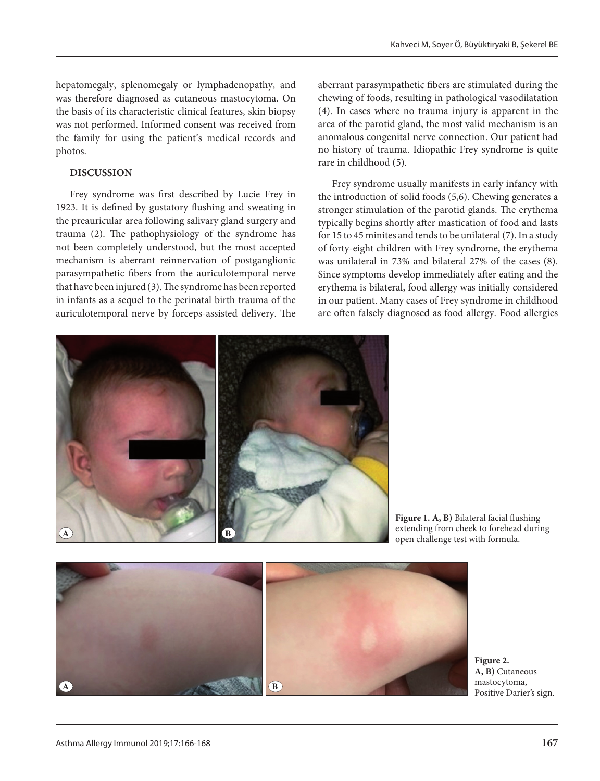hepatomegaly, splenomegaly or lymphadenopathy, and was therefore diagnosed as cutaneous mastocytoma. On the basis of its characteristic clinical features, skin biopsy was not performed. Informed consent was received from the family for using the patient's medical records and photos.

# **DISCUSSION**

Frey syndrome was first described by Lucie Frey in 1923. It is defined by gustatory flushing and sweating in the preauricular area following salivary gland surgery and trauma (2). The pathophysiology of the syndrome has not been completely understood, but the most accepted mechanism is aberrant reinnervation of postganglionic parasympathetic fibers from the auriculotemporal nerve that have been injured (3). The syndrome has been reported in infants as a sequel to the perinatal birth trauma of the auriculotemporal nerve by forceps-assisted delivery. The aberrant parasympathetic fibers are stimulated during the chewing of foods, resulting in pathological vasodilatation (4). In cases where no trauma injury is apparent in the area of the parotid gland, the most valid mechanism is an anomalous congenital nerve connection. Our patient had no history of trauma. Idiopathic Frey syndrome is quite rare in childhood (5).

Frey syndrome usually manifests in early infancy with the introduction of solid foods (5,6). Chewing generates a stronger stimulation of the parotid glands. The erythema typically begins shortly after mastication of food and lasts for 15 to 45 minites and tends to be unilateral (7). In a study of forty-eight children with Frey syndrome, the erythema was unilateral in 73% and bilateral 27% of the cases (8). Since symptoms develop immediately after eating and the erythema is bilateral, food allergy was initially considered in our patient. Many cases of Frey syndrome in childhood are often falsely diagnosed as food allergy. Food allergies



**Figure 1. A, B)** Bilateral facial flushing extending from cheek to forehead during open challenge test with formula.



**Figure 2. A, B)** Cutaneous mastocytoma, Positive Darier's sign.